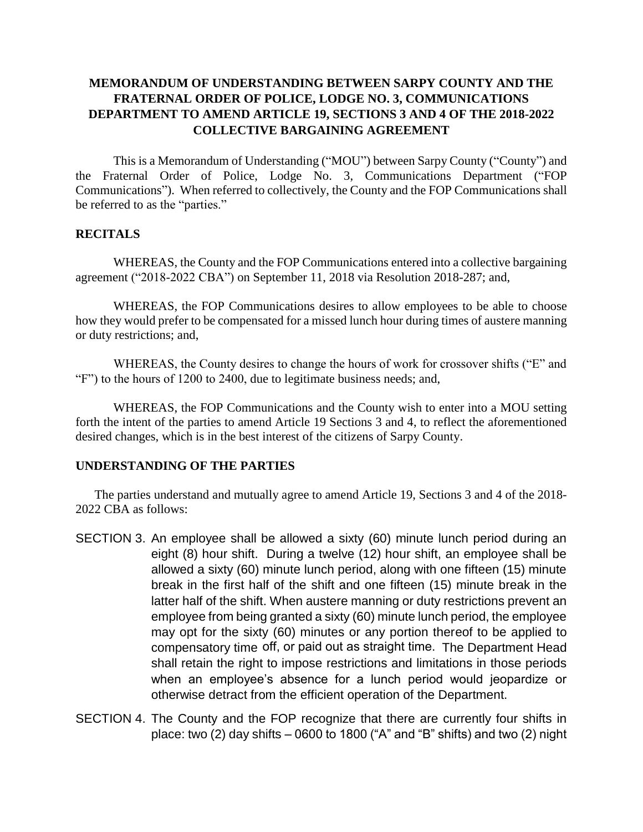## **MEMORANDUM OF UNDERSTANDING BETWEEN SARPY COUNTY AND THE FRATERNAL ORDER OF POLICE, LODGE NO. 3, COMMUNICATIONS DEPARTMENT TO AMEND ARTICLE 19, SECTIONS 3 AND 4 OF THE 2018-2022 COLLECTIVE BARGAINING AGREEMENT**

This is a Memorandum of Understanding ("MOU") between Sarpy County ("County") and the Fraternal Order of Police, Lodge No. 3, Communications Department ("FOP Communications"). When referred to collectively, the County and the FOP Communications shall be referred to as the "parties."

## **RECITALS**

WHEREAS, the County and the FOP Communications entered into a collective bargaining agreement ("2018-2022 CBA") on September 11, 2018 via Resolution 2018-287; and,

WHEREAS, the FOP Communications desires to allow employees to be able to choose how they would prefer to be compensated for a missed lunch hour during times of austere manning or duty restrictions; and,

WHEREAS, the County desires to change the hours of work for crossover shifts ("E" and "F") to the hours of 1200 to 2400, due to legitimate business needs; and,

WHEREAS, the FOP Communications and the County wish to enter into a MOU setting forth the intent of the parties to amend Article 19 Sections 3 and 4, to reflect the aforementioned desired changes, which is in the best interest of the citizens of Sarpy County.

## **UNDERSTANDING OF THE PARTIES**

The parties understand and mutually agree to amend Article 19, Sections 3 and 4 of the 2018- 2022 CBA as follows:

- SECTION 3. An employee shall be allowed a sixty (60) minute lunch period during an eight (8) hour shift. During a twelve (12) hour shift, an employee shall be allowed a sixty (60) minute lunch period, along with one fifteen (15) minute break in the first half of the shift and one fifteen (15) minute break in the latter half of the shift. When austere manning or duty restrictions prevent an employee from being granted a sixty (60) minute lunch period, the employee may opt for the sixty (60) minutes or any portion thereof to be applied to compensatory time off, or paid out as straight time. The Department Head shall retain the right to impose restrictions and limitations in those periods when an employee's absence for a lunch period would jeopardize or otherwise detract from the efficient operation of the Department.
- SECTION 4. The County and the FOP recognize that there are currently four shifts in place: two (2) day shifts  $-0600$  to 1800 ("A" and "B" shifts) and two (2) night